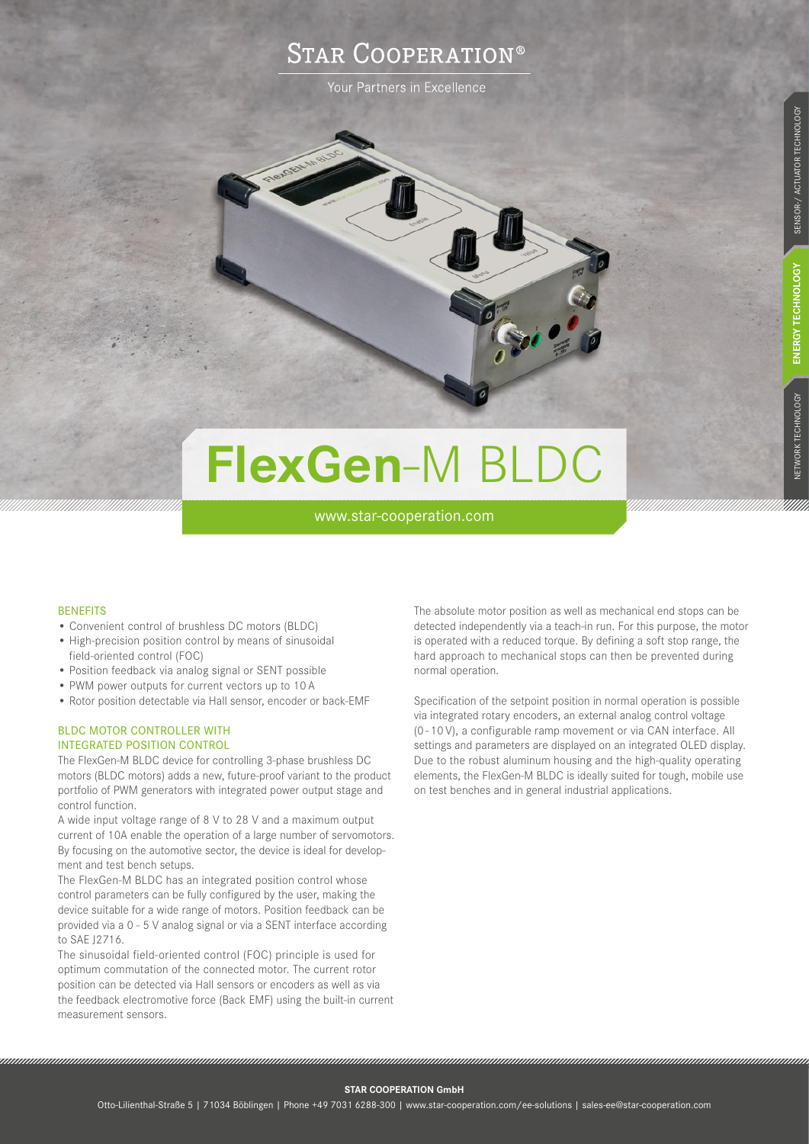## **STAR COOPERATION®**

Your Partners in Excellence

# **FlexGen**-M BLDC

www.star-cooperation.com

### **BENEFITS**

- Convenient control of brushless DC motors (BLDC)
- High-precision position control by means of sinusoidal field-oriented control (FOC)
- Position feedback via analog signal or SENT possible
- PWM power outputs for current vectors up to 10 A
- Rotor position detectable via Hall sensor, encoder or back-EMF

## BLDC MOTOR CONTROLLER WITH INTEGRATED POSITION CONTROL

The FlexGen-M BLDC device for controlling 3-phase brushless DC motors (BLDC motors) adds a new, future-proof variant to the product portfolio of PWM generators with integrated power output stage and control function.

A wide input voltage range of 8 V to 28 V and a maximum output current of 10A enable the operation of a large number of servomotors. By focusing on the automotive sector, the device is ideal for development and test bench setups.

The FlexGen-M BLDC has an integrated position control whose control parameters can be fully configured by the user, making the device suitable for a wide range of motors. Position feedback can be provided via a 0 - 5 V analog signal or via a SENT interface according to SAE J2716.

The sinusoidal field-oriented control (FOC) principle is used for optimum commutation of the connected motor. The current rotor position can be detected via Hall sensors or encoders as well as via the feedback electromotive force (Back EMF) using the built-in current measurement sensors.

The absolute motor position as well as mechanical end stops can be detected independently via a teach-in run. For this purpose, the motor is operated with a reduced torque. By defining a soft stop range, the hard approach to mechanical stops can then be prevented during normal operation.

Specification of the setpoint position in normal operation is possible via integrated rotary encoders, an external analog control voltage (0 - 10 V), a configurable ramp movement or via CAN interface. All settings and parameters are displayed on an integrated OLED display. Due to the robust aluminum housing and the high-quality operating elements, the FlexGen-M BLDC is ideally suited for tough, mobile use on test benches and in general industrial applications.

**STAR COOPERATION GmbH** 

,,,,,,,,,,,,,,,,,,,,,,,,,,,,,,,,,,,,,,